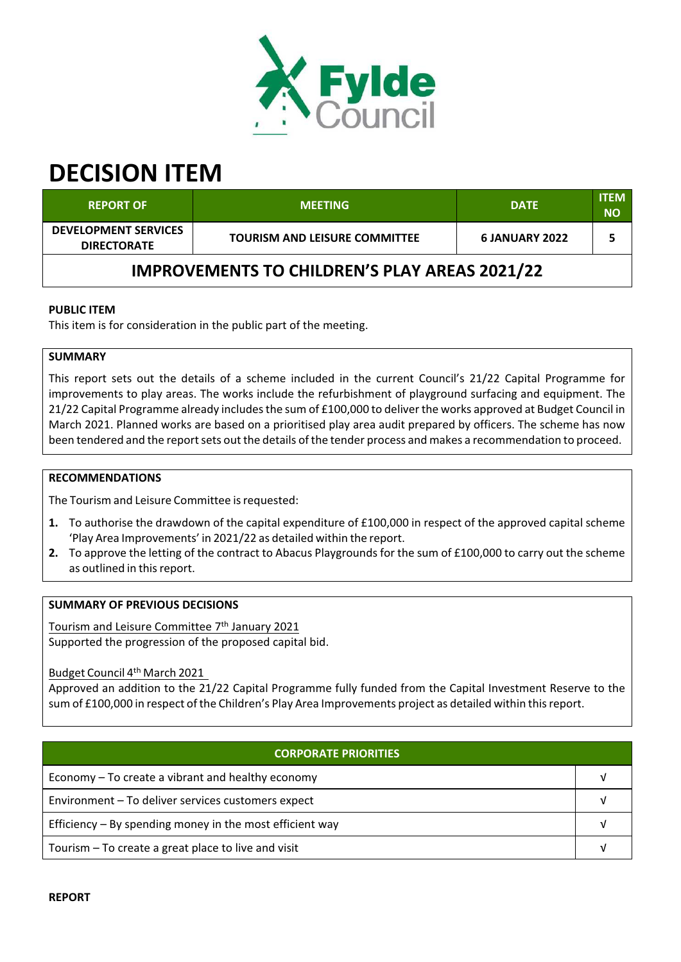

# **DECISION ITEM**

| <b>REPORT OF</b>                                     | <b>MEETING</b>                       | <b>DATE</b>           | <b>ITEM</b><br><b>NO</b> |  |  |  |
|------------------------------------------------------|--------------------------------------|-----------------------|--------------------------|--|--|--|
| <b>DEVELOPMENT SERVICES</b><br><b>DIRECTORATE</b>    | <b>TOURISM AND LEISURE COMMITTEE</b> | <b>6 JANUARY 2022</b> |                          |  |  |  |
| <b>IMPROVEMENTS TO CHILDREN'S PLAY AREAS 2021/22</b> |                                      |                       |                          |  |  |  |

## **PUBLIC ITEM**

This item is for consideration in the public part of the meeting.

## **SUMMARY**

This report sets out the details of a scheme included in the current Council's 21/22 Capital Programme for improvements to play areas. The works include the refurbishment of playground surfacing and equipment. The 21/22 Capital Programme already includesthe sum of £100,000 to deliverthe works approved at Budget Council in March 2021. Planned works are based on a prioritised play area audit prepared by officers. The scheme has now been tendered and the report sets out the details of the tender process and makes a recommendation to proceed.

## **RECOMMENDATIONS**

The Tourism and Leisure Committee is requested:

- **1.** To authorise the drawdown of the capital expenditure of £100,000 in respect of the approved capital scheme 'Play Area Improvements' in 2021/22 as detailed within the report.
- **2.** To approve the letting of the contract to Abacus Playgrounds for the sum of £100,000 to carry out the scheme as outlined in this report.

## **SUMMARY OF PREVIOUS DECISIONS**

Tourism and Leisure Committee 7<sup>th</sup> January 2021 Supported the progression of the proposed capital bid.

Budget Council 4<sup>th</sup> March 2021

Approved an addition to the 21/22 Capital Programme fully funded from the Capital Investment Reserve to the sum of £100,000 in respect of the Children's Play Area Improvements project as detailed within this report.

| <b>CORPORATE PRIORITIES</b>                                |  |  |  |
|------------------------------------------------------------|--|--|--|
| Economy – To create a vibrant and healthy economy          |  |  |  |
| Environment - To deliver services customers expect         |  |  |  |
| Efficiency $-$ By spending money in the most efficient way |  |  |  |
| Tourism – To create a great place to live and visit        |  |  |  |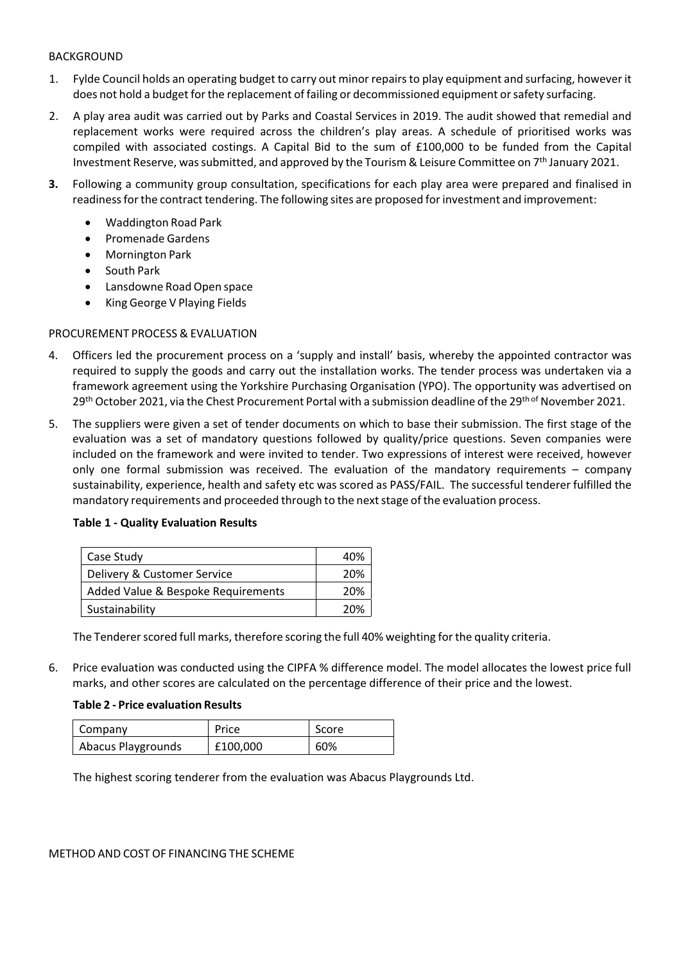## BACKGROUND

- 1. Fylde Council holds an operating budget to carry out minor repairsto play equipment and surfacing, however it does not hold a budget for the replacement of failing or decommissioned equipment or safety surfacing.
- 2. A play area audit was carried out by Parks and Coastal Services in 2019. The audit showed that remedial and replacement works were required across the children's play areas. A schedule of prioritised works was compiled with associated costings. A Capital Bid to the sum of £100,000 to be funded from the Capital Investment Reserve, was submitted, and approved by the Tourism & Leisure Committee on  $7<sup>th</sup>$  January 2021.
- **3.** Following a community group consultation, specifications for each play area were prepared and finalised in readinessforthe contract tendering. The following sites are proposed forinvestment and improvement:
	- Waddington Road Park
	- Promenade Gardens
	- Mornington Park
	- South Park
	- Lansdowne Road Open space
	- King George V Playing Fields

## PROCUREMENT PROCESS & EVALUATION

- 4. Officers led the procurement process on a 'supply and install' basis, whereby the appointed contractor was required to supply the goods and carry out the installation works. The tender process was undertaken via a framework agreement using the Yorkshire Purchasing Organisation (YPO). The opportunity was advertised on 29<sup>th</sup> October 2021, via the Chest Procurement Portal with a submission deadline of the 29<sup>th of</sup> November 2021.
- 5. The suppliers were given a set of tender documents on which to base their submission. The first stage of the evaluation was a set of mandatory questions followed by quality/price questions. Seven companies were included on the framework and were invited to tender. Two expressions of interest were received, however only one formal submission was received. The evaluation of the mandatory requirements – company sustainability, experience, health and safety etc was scored as PASS/FAIL. The successful tenderer fulfilled the mandatory requirements and proceeded through to the next stage of the evaluation process.

| Case Study                         | 40% |
|------------------------------------|-----|
| Delivery & Customer Service        | 20% |
| Added Value & Bespoke Requirements | 20% |
| Sustainability                     | 20% |

## **Table 1 ‐ Quality Evaluation Results**

The Tenderer scored full marks, therefore scoring the full 40% weighting for the quality criteria.

6. Price evaluation was conducted using the CIPFA % difference model. The model allocates the lowest price full marks, and other scores are calculated on the percentage difference of their price and the lowest.

## **Table 2 ‐ Price evaluation Results**

| Company            | Price    | Score |
|--------------------|----------|-------|
| Abacus Playgrounds | £100,000 | 60%   |

The highest scoring tenderer from the evaluation was Abacus Playgrounds Ltd.

#### METHOD AND COST OF FINANCING THE SCHEME